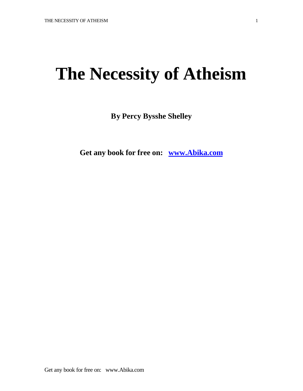# **The Necessity of Atheism**

**By Percy Bysshe Shelley**

**Get any book for free on: www.Abika.com**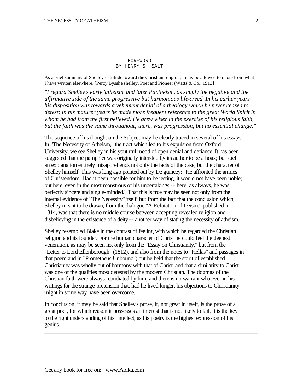#### FOREWORD BY HENRY S. SALT

As a brief summary of Shelley's attitude toward the Christian religion, I may be allowed to quote from what I have written elsewhere. [Percy Bysshe shelley, Poet and Pioneer (Watts & Co., 1913]

*"I regard Shelley's early 'atheism' and later Pantheism, as simply the negative and the affirmative side of the same progressive but harmonious life-creed. In his earlier years his disposition was towards a vehement denial of a theology which he never ceased to detest; in his maturer years he made more frequent reference to the great World Spirit in whom he had from the first believed. He grew wiser in the exercise of his religious faith, but the faith was the same throughout; there, was progression, but no essential change."* 

The sequence of his thought on the Subject may be clearly traced in several of his essays. In "The Necessity of Atheism," the tract which led to his expulsion from Oxford University, we see Shelley in his youthful mood of open denial and defiance. It has been suggested that the pamphlet was originally intended by its author to be a hoax; but such an explanation entirely misapprehends not only the facts of the case, but the character of Shelley himself. This was long ago pointed out by De guincey: "He affronted the armies of Christendom. Had it been possible for him to be jesting, it would not have been noble; but here, even in the most monstrous of his undertakings -- here, as always, he was perfectly sincere and single-minded." That this is true may be seen not only from the internal evidence of "The Necessity" itself, but from the fact that the conclusion which, Shelley meant to be drawn, from the dialogue "A Refutation of Deism," published in 1814, was that there is no middle course between accepting revealed religion and disbelieving in the existence of a deity -- another way of stating the necessity of atheism.

Shelley resembled Blake in the contrast of feeling with which he regarded the Christian religion and its founder. For the human character of Christ he could feel the deepest veneration, as may be seen not only from the "Essay on Christianity," but from the "Letter to Lord Ellenborough" (1812), and also from the notes to "Hellas" and passages in that poem and in "Prometheus Unbound"; but he held that the spirit of established Christianity was wholly out of harmony with that of Christ, and that a similarity to Christ was one of the qualities most detested by the modern Christian. The dogmas of the Christian faith were always repudiated by him, and there is no warrant whatever in his writings for the strange pretension that, had he lived longer, his objections to Christianity might in some way have been overcome.

In conclusion, it may be said that Shelley's prose, if, not great in itself, is the prose of a great poet, for which reason it possesses an interest that is not likely to fail. It is the key to the right understanding of his. intellect, as his poetry is the highest expression of his genius.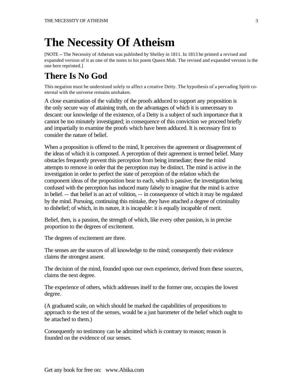## **The Necessity Of Atheism**

[NOTE -- The Necessity of Atheism was published by Shelley in 1811. In 1813 he printed a revised and expanded version of it as one of the notes to his poem Queen Mab. The revised and expanded version is the one here reprinted.]

### **There Is No God**

This negation must be understood solely to affect a creative Deity. The hypothesis of a pervading Spirit coeternal with the universe remains unshaken.

A close examination of the validity of the proofs adduced to support any proposition is the only secure way of attaining truth, on the advantages of which it is unnecessary to descant: our knowledge of the existence, of a Deity is a subject of such importance that it cannot be too minutely investigated; in consequence of this conviction we proceed briefly and impartially to examine the proofs which have been adduced. It is necessary first to consider the nature of belief.

When a proposition is offered to the mind, It perceives the agreement or disagreement of the ideas of which it is composed. A perception of their agreement is termed belief. Many obstacles frequently prevent this perception from being immediate; these the mind attempts to remove in order that the perception may be distinct. The mind is active in the investigation in order to perfect the state of perception of the relation which the component ideas of the proposition bear to each, which is passive; the investigation being confused with the perception has induced many falsely to imagine that the mind is active in belief. -- that belief is an act of volition, -- in consequence of which it may be regulated by the mind. Pursuing, continuing this mistake, they have attached a degree of criminality to disbelief; of which, in its nature, it is incapable: it is equally incapable of merit.

Belief, then, is a passion, the strength of which, like every other passion, is in precise proportion to the degrees of excitement.

The degrees of excitement are three.

The senses are the sources of all knowledge to the mind; consequently their evidence claims the strongest assent.

The decision of the mind, founded upon our own experience, derived from these sources, claims the next degree.

The experience of others, which addresses itself to the former one, occupies the lowest degree.

(A graduated scale, on which should be marked the capabilities of propositions to approach to the test of the senses, would be a just barometer of the belief which ought to be attached to them.)

Consequently no testimony can be admitted which is contrary to reason; reason is founded on the evidence of our senses.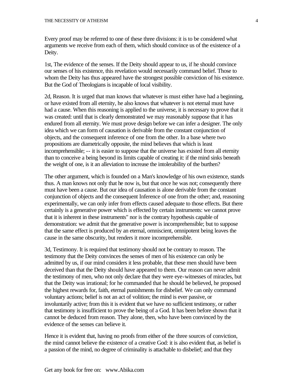Every proof may be referred to one of these three divisions: it is to be considered what arguments we receive from each of them, which should convince us of the existence of a Deity.

1st, The evidence of the senses. If the Deity should appear to us, if he should convince our senses of his existence, this revelation would necessarily command belief. Those to whom the Deity has thus appeared have the strongest possible conviction of his existence. But the God of Theologians is incapable of local visibility.

2d, Reason. It is urged that man knows that whatever is must either have had a beginning, or have existed from all eternity, he also knows that whatever is not eternal must have had a cause. When this reasoning is applied to the universe, it is necessary to prove that it was created: until that is clearly demonstrated we may reasonably suppose that it has endured from all eternity. We must prove design before we can infer a designer. The only idea which we can form of causation is derivable from the constant conjunction of objects, and the consequent inference of one from the other. In a base where two propositions are diametrically opposite, the mind believes that which is least incomprehensible; -- it is easier to suppose that the universe has existed from all eternity than to conceive a being beyond its limits capable of creating it: if the mind sinks beneath the weight of one, is it an alleviation to increase the intolerability of the burthen?

The other argument, which is founded on a Man's knowledge of his own existence, stands thus. A man knows not only that he now is, but that once he was not; consequently there must have been a cause. But our idea of causation is alone derivable from the constant conjunction of objects and the consequent Inference of one from the other; and, reasoning experimentally, we can only infer from effects caused adequate to those effects. But there certainly is a generative power which is effected by certain instruments: we cannot prove that it is inherent in these instruments" nor is the contrary hypothesis capable of demonstration: we admit that the generative power is incomprehensible; but to suppose that the same effect is produced by an eternal, omniscient, omnipotent being leaves the cause in the same obscurity, but renders it more incomprehensible.

3d, Testimony. It is required that testimony should not be contrary to reason. The testimony that the Deity convinces the senses of men of his existence can only be admitted by us, if our mind considers it less probable, that these men should have been deceived than that the Deity should have appeared to them. Our reason can never admit the testimony of men, who not only declare that they were eye-witnesses of miracles, but that the Deity was irrational; for he commanded that he should be believed, he proposed the highest rewards for, faith, eternal punishments for disbelief. We can only command voluntary actions; belief is not an act of volition; the mind is ever passive, or involuntarily active; from this it is evident that we have no sufficient testimony, or rather that testimony is insufficient to prove the being of a God. It has been before shown that it cannot be deduced from reason. They alone, then, who have been convinced by the evidence of the senses can believe it.

Hence it is evident that, having no proofs from either of the three sources of conviction, the mind cannot believe the existence of a creative God: it is also evident that, as belief is a passion of the mind, no degree of criminality is attachable to disbelief; and that they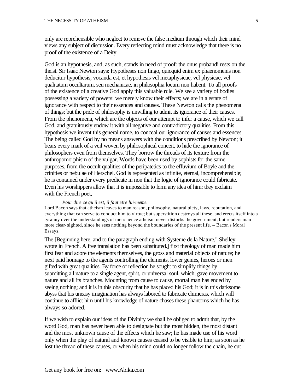only are reprehensible who neglect to remove the false medium through which their mind views any subject of discussion. Every reflecting mind must acknowledge that there is no proof of the existence of a Deity.

God is an hypothesis, and, as such, stands in need of proof: the onus probandi rests on the theist. Sir Isaac Newton says: Hypotheses non fingo, quicquid enim ex phaenomenis non deducitur hypothesis, vocanda est, et hypothesis vel metaphysicae, vel physicae, vel qualitatum occultarum, seu mechanicae, in philosophia locum non habent. To all proofs of the existence of a creative God apply this valuable rule. We see a variety of bodies possessing a variety of powers: we merely know their effects; we are in a estate of ignorance with respect to their essences and causes. These Newton calls the phenomena of things; but the pride of philosophy is unwilling to admit its ignorance of their causes. From the phenomena, which are the objects of our attempt to infer a cause, which we call God, and gratuitously endow it with all negative and contradictory qualities. From this hypothesis we invent this general name, to conceal our ignorance of causes and essences. The being called God by no means answers with the conditions prescribed by Newton; it bears every mark of a veil woven by philosophical conceit, to hide the ignorance of philosophers even from themselves. They borrow the threads of its texture from the anthropomorphism of the vulgar. Words have been used by sophists for the same purposes, from the occult qualities of the peripatetics to the effuvium of Boyle and the crinities or nebulae of Herschel. God is represented as infinite, eternal, incomprehensible; he is contained under every predicate in non that the logic of ignorance could fabricate. Even his worshippers allow that it is impossible to form any idea of him: they exclaim with the French poet,

#### *Pour dire ce qu'il est, il faut etre lui-meme.*

Lord Bacon says that atheism leaves to man reason, philosophy, natural piety, laws, reputation, and everything that can serve to conduct him to virtue; but superstition destroys all these, and erects itself into a tyranny over the understandings of men: hence atheism never disturbs the government, but renders man more clear- sighted, since he sees nothing beyond the boundaries of the present life. -- Bacon's Moral Essays.

The [Beginning here, and to the paragraph ending with Systeme de la Nature," Shelley wrote in French. A free translation has been substituted.] first theology of man made him first fear and adore the elements themselves, the gross and material objects of nature; he next paid homage to the agents controlling the elements, lower genies, heroes or men gifted with great qualities. By force of reflection he sought to simplify things by submitting all nature to a single agent, spirit, or universal soul, which, gave movement to nature and all its branches. Mounting from cause to cause, mortal man has ended by seeing nothing; and it is in this obscurity that he has placed his God; it is in this darksome abyss that his uneasy imagination has always labored to fabricate chimeras, which will continue to afflict him until his knowledge of nature chases these phantoms which he has always so adored.

If we wish to explain our ideas of the Divinity we shall be obliged to admit that, by the word God, man has never been able to designate but the most hidden, the most distant and the most unknown cause of the effects which he saw; he has made use of his word only when the play of natural and known causes ceased to be visible to him; as soon as he lost the thread of these causes, or when his mind could no longer follow the chain, he cut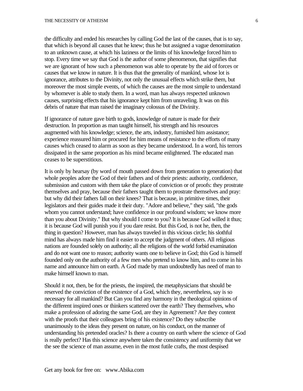the difficulty and ended his researches by calling God the last of the causes, that is to say, that which is beyond all causes that he knew; thus he but assigned a vague denomination to an unknown cause, at which his laziness or the limits of his knowledge forced him to stop. Every time we say that God is the author of some phenomenon, that signifies that we are ignorant of how such a phenomenon was able to operate by the aid of forces or causes that we know in nature. It is thus that the generality of mankind, whose lot is ignorance, attributes to the Divinity, not only the unusual effects which strike them, but moreover the most simple events, of which the causes are the most simple to understand by whomever is able to study them. In a word, man has always respected unknown causes, surprising effects that his ignorance kept him from unraveling. It was on this debris of nature that man raised the imaginary colossus of the Divinity.

If ignorance of nature gave birth to gods, knowledge of nature is made for their destruction. In proportion as man taught himself, his strength and his resources augmented with his knowledge; science, the arts, industry, furnished him assistance; experience reassured him or procured for him means of resistance to the efforts of many causes which ceased to alarm as soon as they became understood. In a word, his terrors dissipated in the same proportion as his mind became enlightened. The educated man ceases to be superstitious.

It is only by hearsay (by word of mouth passed down from generation to generation) that whole peoples adore the God of their fathers and of their priests: authority, confidence, submission and custom with them take the place of conviction or of proofs: they prostrate themselves and pray, because their fathers taught them to prostrate themselves and pray: but why did their fathers fall on their knees? That is because, in primitive times, their legislators and their guides made it their duty. "Adore and believe," they said, "the gods whom you cannot understand; have confidence in our profound wisdom; we know more than you about Divinity." But why should I come to you? It is because God willed it thus; it is because God will punish you if you dare resist. But this God, is not he, then, the thing in question? However, man has always traveled in this vicious circle; his slothful mind has always made him find it easier to accept the judgment of others. All religious nations are founded solely on authority; all the religions of the world forbid examination and do not want one to reason; authority wants one to believe in God; this God is himself founded only on the authority of a few men who pretend to know him, and to come in his name and announce him on earth. A God made by man undoubtedly has need of man to make himself known to man.

Should it not, then, be for the priests, the inspired, the metaphysicians that should be reserved the conviction of the existence of a God, which they, nevertheless, say is so necessary for all mankind? But Can you find any harmony in the theological opinions of the different inspired ones or thinkers scattered over the earth? They themselves, who make a profession of adoring the same God, are they in Agreement? Are they content with the proofs that their colleagues bring of his existence? Do they subscribe unanimously to the ideas they present on nature, on his conduct, on the manner of understanding his pretended oracles? Is there a country on earth where the science of God is really perfect? Has this science anywhere taken the consistency and uniformity that we the see the science of man assume, even in the most futile crafts, the most despised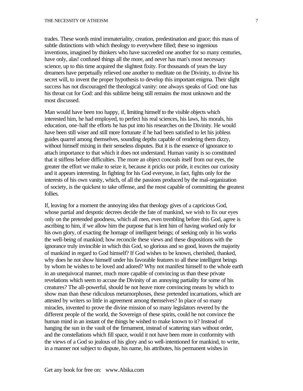trades. These words mind immateriality, creation, predestination and grace; this mass of subtle distinctions with which theology to everywhere filled; these so ingenious inventions, imagined by thinkers who have succeeded one another for so many centuries, have only, alas! confused things all the more, and never has man's most necessary science, up to this time acquired the slightest fixity. For thousands of years the lazy dreamers have perpetually relieved one another to meditate on the Divinity, to divine his secret will, to invent the proper hypothesis to develop this important enigma. Their slight success has not discouraged the theological vanity: one always speaks of God: one has his throat cut for God: and this sublime being still remains the most unknown and the most discussed.

Man would have been too happy, if, limiting himself to the visible objects which interested him, he had employed, to perfect his real sciences, his laws, his morals, his education, one-half the efforts he has put into his researches on the Divinity. He would have been still wiser and still more fortunate if he had been satisfied to let his jobless guides quarrel among themselves, sounding depths capable of rendering them dizzy, without himself mixing in their senseless disputes. But it is the essence of ignorance to attach importance to that which it does not understand. Human vanity is so constituted that it stiffens before difficulties. The more an object conceals itself from our eyes, the greater the effort we make to seize it, because it pricks our pride, it excites our curiosity and it appears interesting. In fighting for his God everyone, in fact, fights only for the interests of his own vanity, which, of all the passions produced by the mal-organization of society, is the quickest to take offense, and the most capable of committing the greatest follies.

If, leaving for a moment the annoying idea that theology gives of a capricious God, whose partial and despotic decrees decide the fate of mankind, we wish to fix our eyes only on the pretended goodness, which all men, even trembling before this God, agree is ascribing to him, if we allow him the purpose that is lent him of having worked only for his own glory, of exacting the homage of intelligent beings; of seeking only in his works the well-being of mankind; how reconcile these views and these dispositions with the ignorance truly invincible in which this God, so glorious and so good, leaves the majority of mankind in regard to God himself? If God wishes to be known, cherished, thanked, why does he not show himself under his favorable features to all these intelligent beings by whom he wishes to be loved and adored? Why not manifest himself to the whole earth in an unequivocal manner, much more capable of convincing us than these private revelations which seem to accuse the Divinity of an annoying partiality for some of his creatures? The all-powerful, should he not heave more convincing means by which to show man than these ridiculous metamorphoses, these pretended incarnations, which are attested by writers so little in agreement among themselves? In place of so many miracles, invented to prove the divine mission of so many legislators revered by the different people of the world, the Sovereign of these spirits, could he not convince the human mind in an instant of the things he wished to make known to it? Instead of hanging the sun in the vault of the firmament, instead of scattering stars without order, and the constellations which fill space, would it not have been more in conformity with the views of a God so jealous of his glory and so well-intentioned for mankind, to write, in a manner not subject to dispute, his name, his attributes, his permanent wishes in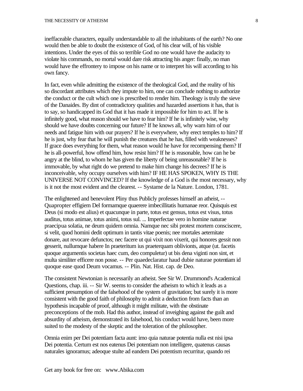ineffaceable characters, equally understandable to all the inhabitants of the earth? No one would then be able to doubt the existence of God, of his clear will, of his visible intentions. Under the eyes of this so terrible God no one would have the audacity to violate his commands, no mortal would dare risk attracting his anger: finally, no man would have the effrontery to impose on his name or to interpret his will according to his own fancy.

In fact, even while admitting the existence of the theological God, and the reality of his so discordant attributes which they impute to him, one can conclude nothing to authorize the conduct or the cult which one is prescribed to render him. Theology is truly the sieve of the Danaides. By dint of contradictory qualities and hazarded assertions it has, that is to say, so handicapped its God that it has made it impossible for him to act. If he is infinitely good, what reason should we have to fear him? If he is infinitely wise, why should we have doubts concerning our future? If he knows all, why warn him of our needs and fatigue him with our prayers? If he is everywhere, why erect temples to him? If he is just, why fear that he will punish the creatures that he has, filled with weaknesses? If grace does everything for them, what reason would he have for recompensing them? If he is all-powerful, how offend him, how resist him? If he is reasonable, how can he be angry at the blind, to whom he has given the liberty of being unreasonable? If he is immovable, by what right do we pretend to make him change his decrees? If he is inconceivable, why occupy ourselves with him? IF HE HAS SPOKEN, WHY IS THE UNIVERSE NOT CONVINCED? If the knowledge of a God is the most necessary, why is it not the most evident and the clearest. -- Systame de la Nature. London, 1781.

The enlightened and benevolent Pliny thus Publicly professes himself an atheist, -- Quapropter effigiem Del formamque quaerere imbecillitatis humanae reor. Quisquis est Deus (si modo est alius) et quacunque in parte, totus est gensus, totus est visus, totus auditus, totus animae, totus animi, totus sul. ... Imperfectae vero in homine naturae praecipua solatia, ne deum quidem omnia. Namque nec sibi protest mortem consciscere, si velit, quod homini dedit optimum in tantis vitae poenis; nee mortales aeternitate donare, aut revocare defunctos; nec facere ut qui vixit non vixerit, qui honores gessit non gesserit, nullumque habere In praeteritum ius praeterquam oblivionts, atque (ut. facetis quoque argumentis societas haec cum, deo compuletur) ut bis dena viginti non sint, et multa similiter efficere non posse. -- Per quaedeclaratur haud dubie naturae potentiam id quoque ease quod Deum vocamus. -- Plin. Nat. Hist. cap. de Deo.

The consistent Newtonian is necessarily an atheist. See Sir W. Drummond's Academical Questions, chap. iii. -- Sir W. seems to consider the atheism to which it leads as a sufficient presumption of the falsehood of the system of gravitation; but surely it is more consistent with the good faith of philosophy to admit a deduction from facts than an hypothesis incapable of proof, although it might militate, with the obstinate preconceptions of the mob. Had this author, instead of inveighing against the guilt and absurdity of atheism, demonstrated its falsehood, his conduct would have, been more suited to the modesty of the skeptic and the toleration of the philosopher.

Omnia enim per Dei potentiam facta aunt: imo quia naturae potentia nulla est nisi ipsa Dei potentia. Certum est nos eatenus Dei potentiam non intelligere, quatenus causas naturales ignoramus; adeoque stulte ad eandem Dei potentism recurritur, quando rei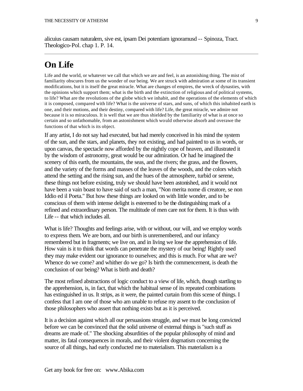alicuius causam naturalem, sive est, ipsam Dei potentiam ignoramusd -- Spinoza, Tract. Theologico-Pol. chap 1. P. 14.

#### **On Life**

Life and the world, or whatever we call that which we are and feel, is an astonishing thing. The mist of familiarity obscures from us the wonder of our being. We are struck with admiration at some of its transient modifications, but it is itself the great miracle. What are changes of empires, the wreck of dynasties, with the opinions which support them; what is the birth and the extinction of religious and of political systems, to life? What are the revolutions of the globe which we inhabit, and the operations of the elements of which it is composed, compared with life? What is the universe of stars, and suns, of which this inhabited earth is one, and their motions, and their destiny, compared with life? Life, the great miracle, we admire not because it is so miraculous. It is well that we are thus shielded by the familiarity of what is at once so certain and so unfathomable, from an astonishment which would otherwise absorb and overawe the functions of that which is its object.

If any artist, I do not say had executed, but had merely conceived in his mind the system of the sun, and the stars, and planets, they not existing, and had painted to us in words, or upon canvas, the spectacle now afforded by the nightly cope of heaven, and illustrated it by the wisdom of astronomy, great would be our admiration. Or had he imagined the scenery of this earth, the mountains, the seas, and the rivers; the grass, and the flowers, and the variety of the forms and masses of the leaves of the woods, and the colors which attend the setting and the rising sun, and the hues of the atmosphere, turbid or serene, these things not before existing, truly we should have been astonished, and it would not have been a vain boast to have said of such a man, "Non merita nome di creatore, se non Iddio ed il Poeta." But how these things are looked on with little wonder, and to be conscious of them with intense delight is esteemed to be the distinguishing mark of a refined and extraordinary person. The multitude of men care not for them. It is thus with Life -- that which includes all.

What is life? Thoughts and feelings arise, with or without, our will, and we employ words to express them. We are born, and our birth is unremembered, and our infancy remembered but in fragments; we live on, and in living we lose the apprehension of life. How vain is it to think that words can penetrate the mystery of our being! Rightly used they may make evident our ignorance to ourselves; and this is much. For what are we? Whence do we come? and whither do we go? Is birth the commencement, is death the conclusion of our being? What is birth and death?

The most refined abstractions of logic conduct to a view of life, which, though startling to the apprehension, is, in fact, that which the habitual sense of its repeated combinations has extinguished in us. It strips, as it were, the painted curtain from this scene of things. I confess that I am one of those who am unable to refuse my assent to the conclusion of those philosophers who assert that nothing exists but as it is perceived.

It is a decision against which all our persuasions struggle, and we must be long convicted before we can be convinced that the solid universe of external things is "such stuff as dreams are made of." The shocking absurdities of the popular philosophy of mind and matter, its fatal consequences in morals, and their violent dogmatism concerning the source of all things, had early conducted me to materialism. This materialism is a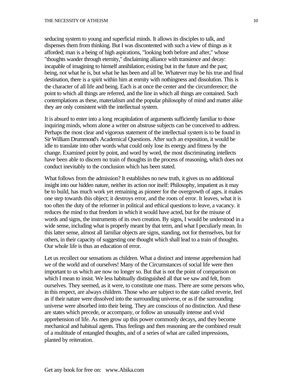seducing system to young and superficial minds. It allows its disciples to talk, and dispenses them from thinking. But I was discontented with such a view of things as it afforded; man is a being of high aspirations, "looking both before and after," whose "thoughts wander through eternity," disclaiming alliance with transience and decay: incapable of imagining to himself annihilation; existing but in the future and the past; being, not what he is, but what he has been and all be. Whatever may be his true and final destination, there is a spirit within him at enmity with nothingness and dissolution. This is the character of all life and being. Each is at once the center and the circumference; the point to which all things are referred, and the line in which all things are contained. Such contemplations as these, materialism and the popular philosophy of mind and matter alike they are only consistent with the intellectual system.

It is absurd to enter into a long recapitulation of arguments sufficiently familiar to those inquiring minds, whom alone a writer on abstruse subjects can be conceived to address. Perhaps the most clear and vigorous statement of the intellectual system is to be found in Sir William Drummond's Academical Questions. After such an exposition, it would be idle to translate into other words what could only lose its energy and fitness by the change. Examined point by point, and word by word, the most discriminating intellects have been able to discern no train of thoughts in the process of reasoning, which does not conduct inevitably to the conclusion which has been stated.

What follows from the admission? It establishes no new truth, it gives us no additional insight into our hidden nature, neither its action nor itself: Philosophy, impatient as it may be to build, has much work yet remaining as pioneer for the overgrowth of ages. it makes one step towards this object; it destroys error, and the roots of error. It leaves, what it is too often the duty of the reformer in political and ethical questions to leave, a vacancy. it reduces the mind to that freedom in which it would have acted, but for the misuse of words and signs, the instruments of its own creation. By signs, I would be understood in a wide sense, including what is properly meant by that term, and what I peculiarly mean. In this latter sense, almost all familiar objects are signs, standing, not for themselves, but for others, in their capacity of suggesting one thought which shall lead to a train of thoughts. Our whole life is thus an education of error.

Let us recollect our sensations as children. What a distinct and intense apprehension had we of the world and of ourselves! Many of the Circumstances of social life were then important to us which are now no longer so. But that is not the point of comparison on which I mean to insist. We less habitually distinguished all that we saw and felt, from ourselves. They seemed, as it were, to constitute one mass. There are some persons who, in this respect, are always children. Those who are subject to the state called reverie, feel as if their nature were dissolved into the surrounding universe, or as if the surrounding universe were absorbed into their being. They are conscious of no distinction. And these are states which precede, or accompany, or follow an unusually intense and vivid apprehension of life. As men grow up this power commonly decays, and they become mechanical and habitual agents. Thus feelings and then reasoning are the combined result of a multitude of entangled thoughts, and of a series of what are called impressions, planted by reiteration.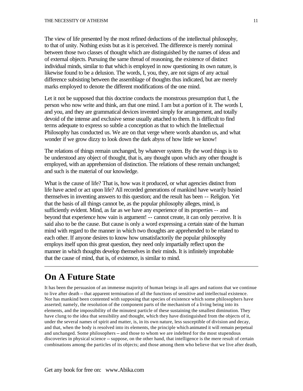The view of life presented by the most refined deductions of the intellectual philosophy, to that of unity. Nothing exists but as it is perceived. The difference is merely nominal between those two classes of thought which are distinguished by the names of ideas and of external objects. Pursuing the same thread of reasoning, the existence of distinct individual minds, similar to that which is employed in now questioning its own nature, is likewise found to be a delusion. The words, I, you, they, are not signs of any actual difference subsisting between the assemblage of thoughts thus indicated, but are merely marks employed to denote the different modifications of the one mind.

Let it not be supposed that this doctrine conducts the monstrous presumption that I, the person who now write and think, am that one mind. I am but a portion of it. The words I, and you, and they are grammatical devices invented simply for arrangement, and totally devoid of the intense and exclusive sense usually attached to them. It is difficult to find terms adequate to express so subtle a conception as that to which the Intellectual Philosophy has conducted us. We are on that verge where words abandon us, and what wonder if we grow dizzy to look down the dark abyss of how little we know!

The relations of things remain unchanged, by whatever system. By the word things is to be understood any object of thought, that is, any thought upon which any other thought is employed, with an apprehension of distinction. The relations of these remain unchanged; and such is the material of our knowledge.

What is the cause of life? That is, how was it produced, or what agencies distinct from life have acted or act upon life? All recorded generations of mankind have wearily busied themselves in inventing answers to this question; and the result has been -- Religion. Yet that the basis of all things cannot be, as the popular philosophy alleges, mind, is sufficiently evident. Mind, as far as we have any experience of its properties -- and beyond that experience how vain is argument! -- cannot create, it can only perceive. It is said also to be the cause. But cause is only a word expressing a certain state of the human mind with regard to the manner in which two thoughts are apprehended to be related to each other. If anyone desires to know how unsatisfactorily the popular philosophy employs itself upon this great question, they need only impartially reflect upon the manner in which thoughts develop themselves in their minds. It is infinitely improbable that the cause of mind, that is, of existence, is similar to mind.

### **On A Future State**

It has been the persuasion of an immense majority of human beings in all ages and nations that we continue to live after death -- that apparent termination of all the functions of sensitive and intellectual existence. Nor has mankind been contented with supposing that species of existence which some philosophers have asserted; namely, the resolution of the component parts of the mechanism of a living being into its elements, and the impossibility of the minutest particle of these sustaining the smallest diminution. They have clung to the idea that sensibility and thought, which they have distinguished from the objects of it, under the several names of spirit and matter, is, in its own nature, less susceptible of division and decay, and that, when the body is resolved into its elements, the principle which animated it will remain perpetual and unchanged. Some philosophers -- and those to whom we are indebted for the most stupendous discoveries in physical science -- suppose, on the other hand, that intelligence is the mere result of certain combinations among the particles of its objects; and those among them who believe that we live after death,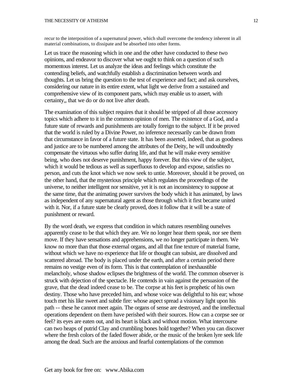recur to the interposition of a supernatural power, which shall overcome the tendency inherent in all material combinations, to dissipate and be absorbed into other forms.

Let us trace the reasoning which in one and the other have conducted to these two opinions, and endeavor to discover what we ought to think on a question of such momentous interest. Let us analyze the ideas and feelings which constitute the contending beliefs, and watchfully establish a discrimination between words and thoughts. Let us bring the question to the test of experience and fact; and ask ourselves, considering our nature in its entire extent, what light we derive from a sustained and comprehensive view of its component parts, which may enable us to assert, with certainty,, that we do or do not live after death.

The examination of this subject requires that it should be stripped of all those accessory topics which adhere to it in the common opinion of men. The existence of a God, and a future state of rewards and punishments are totally foreign to the subject. If it be proved that the world is ruled by a Divine Power, no inference necessarily can be drawn from that circumstance in favor of a future state. It has been asserted, indeed, that as goodness and justice are to be numbered among the attributes of the Deity, he will undoubtedly compensate the virtuous who suffer during life, and that he will make every sensitive being, who does not deserve punishment, happy forever. But this view of the subject, which it would be tedious as well as superfluous to develop and expose, satisfies no person, and cuts the knot which we now seek to untie. Moreover, should it be proved, on the other hand, that the mysterious principle which regulates the proceedings of the universe, to neither intelligent nor sensitive, yet it is not an inconsistency to suppose at the same time, that the animating power survives the body which it has animated, by laws as independent of any supernatural agent as those through which it first became united with it. Nor, if a future state be clearly proved, does it follow that it will be a state of punishment or reward.

By the word death, we express that condition in which natures resembling ourselves apparently cease to be that which they are. We no longer hear them speak, nor see them move. If they have sensations and apprehensions, we no longer participate in them. We know no more than that those external organs, and all that fine texture of material frame, without which we have no experience that life or thought can subsist, are dissolved and scattered abroad. The body is placed under the earth, and after a certain period there remains no vestige even of its form. This is that contemplation of inexhaustible melancholy, whose shadow eclipses the brightness of the world. The common observer is struck with dejection of the spectacle. He contends in vain against the persuasion of the grave, that the dead indeed cease to be. The corpse at his feet is prophetic of his own destiny. Those who have preceded him, and whose voice was delightful to his ear; whose touch met his like sweet and subtle fire: whose aspect spread a visionary light upon his path -- these he cannot meet again. The organs of sense are destroyed, and the intellectual operations dependent on them have perished with their sources. How can a corpse see or feel? its eyes are eaten out, and its heart is black and without motion. What intercourse can two heaps of putrid Clay and crumbling bones hold together? When you can discover where the fresh colors of the faded flower abide, or the music of the broken lyre seek life among the dead. Such are the anxious and fearful contemplations of the common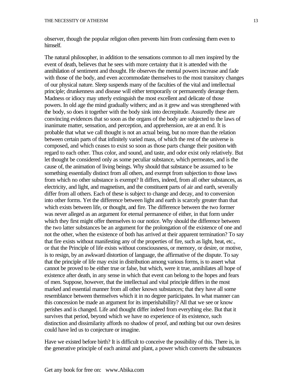observer, though the popular religion often prevents him from confessing them even to himself.

The natural philosopher, in addition to the sensations common to all men inspired by the event of death, believes that he sees with more certainty that it is attended with the annihilation of sentiment and thought. He observes the mental powers increase and fade with those of the body, and even accommodate themselves to the most transitory changes of our physical nature. Sleep suspends many of the faculties of the vital and intellectual principle; drunkenness and disease will either temporarily or permanently derange them. Madness or idiocy may utterly extinguish the most excellent and delicate of those powers. In old age the mind gradually withers; and as it grew and was strengthened with the body, so does it together with the body sink into decrepitude. Assuredly these are convincing evidences that so soon as the organs of the body are subjected to the laws of inanimate matter, sensation, and perception, and apprehension, are at an end. It is probable that what we call thought is not an actual being, but no more than the relation between certain parts of that infinitely varied mass, of which the rest of the universe is composed, and which ceases to exist so soon as those parts change their position with regard to each other. Thus color, and sound, and taste, and odor exist only relatively. But let thought be considered only as some peculiar substance, which permeates, and is the cause of, the animation of living beings. Why should that substance be assumed to be something essentially distinct from all others, and exempt from subjection to those laws from which no other substance is exempt? It differs, indeed, from all other substances, as electricity, and light, and magnetism, and the constituent parts of air and earth, severally differ from all others. Each of these is subject to change and decay, and to conversion into other forms. Yet the difference between light and earth is scarcely greater than that which exists between life, or thought, and fire. The difference between the two former was never alleged as an argument for eternal permanence of either, in that form under which they first might offer themselves to our notice. Why should the difference between the two latter substances be an argument for the prolongation of the existence of one and not the other, when the existence of both has arrived at their apparent termination? To say that fire exists without manifesting any of the properties of fire, such as light, heat, etc., or that the Principle of life exists without consciousness, or memory, or desire, or motive, is to resign, by an awkward distortion of language, the affirmative of the dispute. To say that the principle of life may exist in distribution among various forms, is to assert what cannot be proved to be either true or false, but which, were it true, annihilates all hope of existence after death, in any sense in which that event can belong to the hopes and fears of men. Suppose, however, that the intellectual and vital principle differs in the most marked and essential manner from all other known substances; that they have all some resemblance between themselves which it in no degree participates. In what manner can this concession be made an argument for its imperishabillity? All that we see or know perishes and is changed. Life and thought differ indeed from everything else. But that it survives that period, beyond which we have no experience of its existence, such distinction and dissimilarity affords no shadow of proof, and nothing but our own desires could have led us to conjecture or imagine.

Have we existed before birth? It is difficult to conceive the possibility of this. There is, in the generative principle of each animal and plant, a power which converts the substances